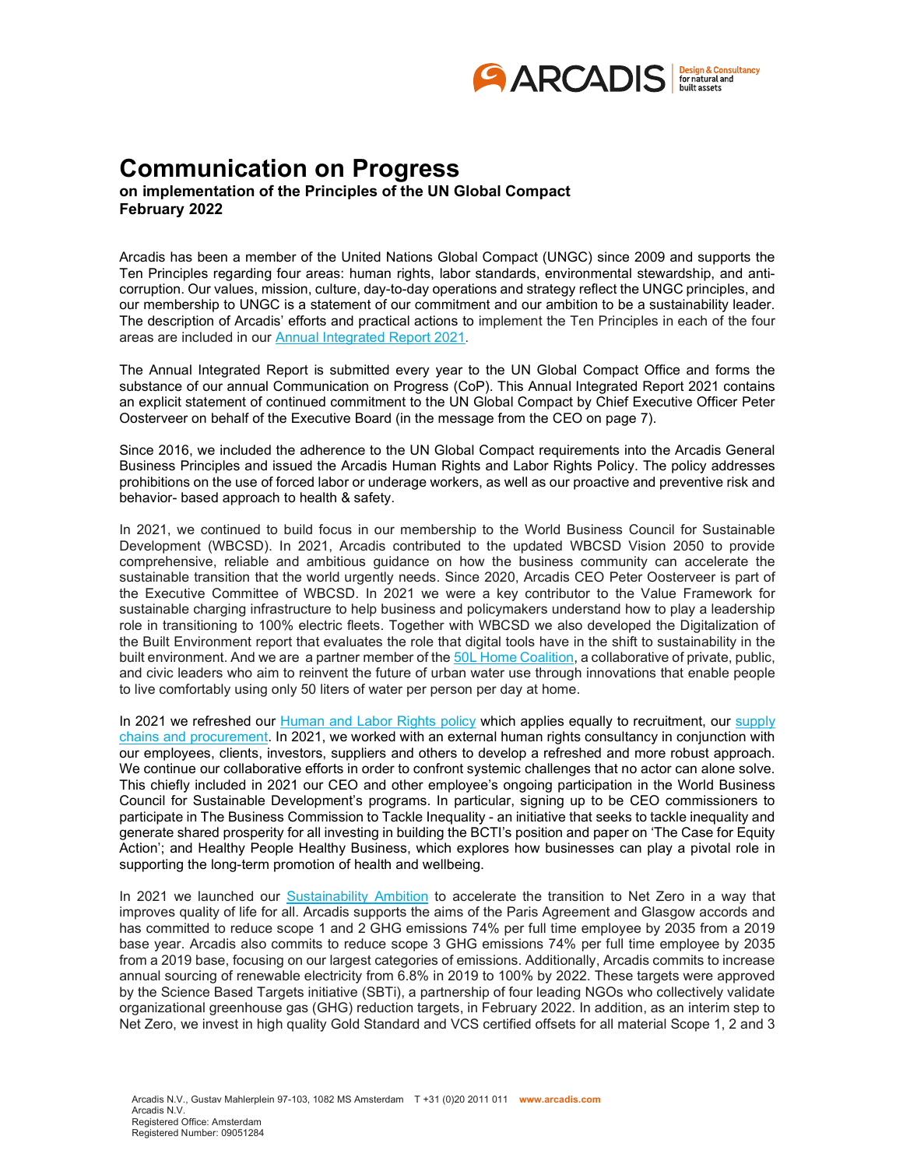

## Communication on Progress

on implementation of the Principles of the UN Global Compact February 2022

Arcadis has been a member of the United Nations Global Compact (UNGC) since 2009 and supports the Ten Principles regarding four areas: human rights, labor standards, environmental stewardship, and anticorruption. Our values, mission, culture, day-to-day operations and strategy reflect the UNGC principles, and our membership to UNGC is a statement of our commitment and our ambition to be a sustainability leader. The description of Arcadis' efforts and practical actions to implement the Ten Principles in each of the four areas are included in our Annual Integrated Report 2021.

The Annual Integrated Report is submitted every year to the UN Global Compact Office and forms the substance of our annual Communication on Progress (CoP). This Annual Integrated Report 2021 contains an explicit statement of continued commitment to the UN Global Compact by Chief Executive Officer Peter Oosterveer on behalf of the Executive Board (in the message from the CEO on page 7).

Since 2016, we included the adherence to the UN Global Compact requirements into the Arcadis General Business Principles and issued the Arcadis Human Rights and Labor Rights Policy. The policy addresses prohibitions on the use of forced labor or underage workers, as well as our proactive and preventive risk and behavior- based approach to health & safety.

In 2021, we continued to build focus in our membership to the World Business Council for Sustainable Development (WBCSD). In 2021, Arcadis contributed to the updated WBCSD Vision 2050 to provide comprehensive, reliable and ambitious guidance on how the business community can accelerate the sustainable transition that the world urgently needs. Since 2020, Arcadis CEO Peter Oosterveer is part of the Executive Committee of WBCSD. In 2021 we were a key contributor to the Value Framework for sustainable charging infrastructure to help business and policymakers understand how to play a leadership role in transitioning to 100% electric fleets. Together with WBCSD we also developed the Digitalization of the Built Environment report that evaluates the role that digital tools have in the shift to sustainability in the built environment. And we are a partner member of the 50L Home Coalition, a collaborative of private, public, and civic leaders who aim to reinvent the future of urban water use through innovations that enable people to live comfortably using only 50 liters of water per person per day at home.

In 2021 we refreshed our Human and Labor Rights policy which applies equally to recruitment, our supply chains and procurement. In 2021, we worked with an external human rights consultancy in conjunction with our employees, clients, investors, suppliers and others to develop a refreshed and more robust approach. We continue our collaborative efforts in order to confront systemic challenges that no actor can alone solve. This chiefly included in 2021 our CEO and other employee's ongoing participation in the World Business Council for Sustainable Development's programs. In particular, signing up to be CEO commissioners to participate in The Business Commission to Tackle Inequality - an initiative that seeks to tackle inequality and generate shared prosperity for all investing in building the BCTI's position and paper on 'The Case for Equity Action'; and Healthy People Healthy Business, which explores how businesses can play a pivotal role in supporting the long-term promotion of health and wellbeing.

In 2021 we launched our Sustainability Ambition to accelerate the transition to Net Zero in a way that improves quality of life for all. Arcadis supports the aims of the Paris Agreement and Glasgow accords and has committed to reduce scope 1 and 2 GHG emissions 74% per full time employee by 2035 from a 2019 base year. Arcadis also commits to reduce scope 3 GHG emissions 74% per full time employee by 2035 from a 2019 base, focusing on our largest categories of emissions. Additionally, Arcadis commits to increase annual sourcing of renewable electricity from 6.8% in 2019 to 100% by 2022. These targets were approved by the Science Based Targets initiative (SBTi), a partnership of four leading NGOs who collectively validate organizational greenhouse gas (GHG) reduction targets, in February 2022. In addition, as an interim step to Net Zero, we invest in high quality Gold Standard and VCS certified offsets for all material Scope 1, 2 and 3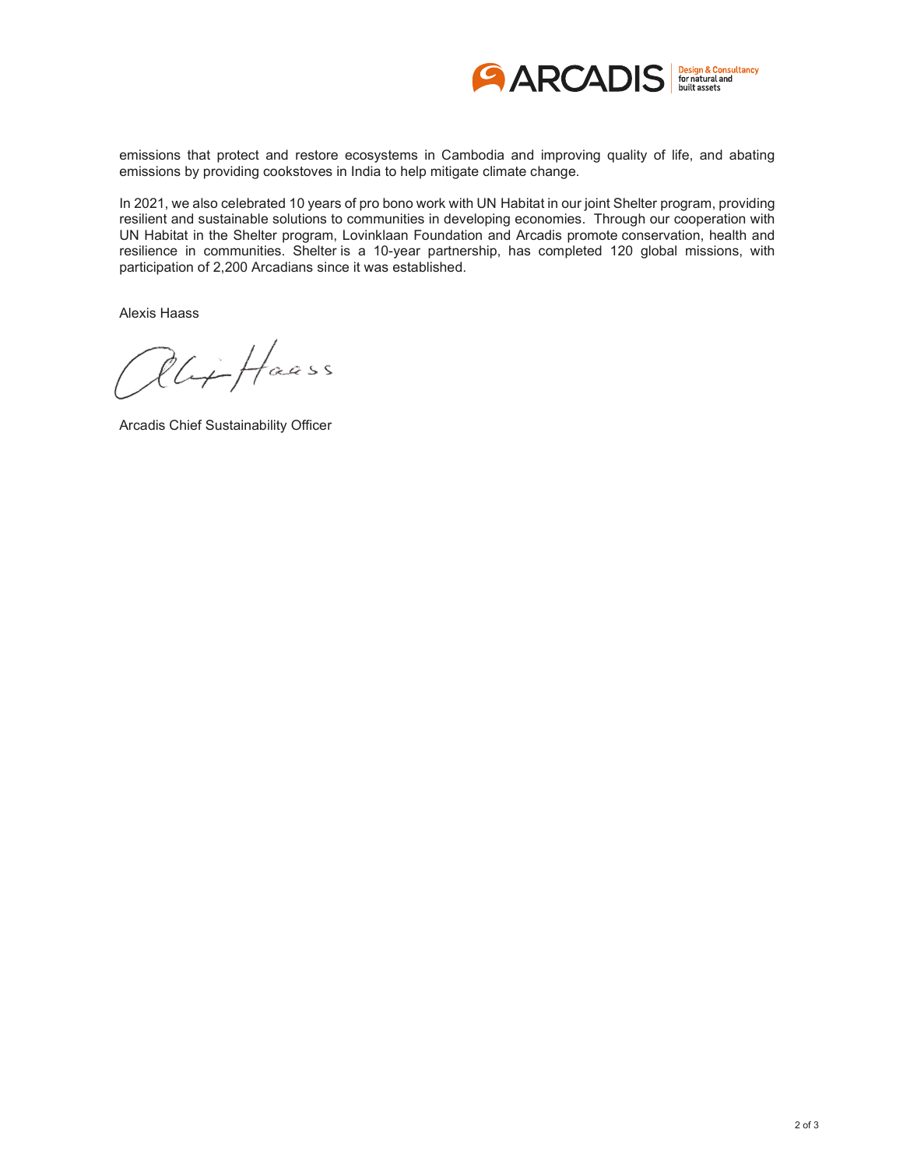

emissions that protect and restore ecosystems in Cambodia and improving quality of life, and abating emissions by providing cookstoves in India to help mitigate climate change.

In 2021, we also celebrated 10 years of pro bono work with UN Habitat in our joint Shelter program, providing resilient and sustainable solutions to communities in developing economies. Through our cooperation with UN Habitat in the Shelter program, Lovinklaan Foundation and Arcadis promote conservation, health and resilience in communities. Shelter is a 10-year partnership, has completed 120 global missions, with participation of 2,200 Arcadians since it was established.

Alexis Haass

Rlit Haass

Arcadis Chief Sustainability Officer